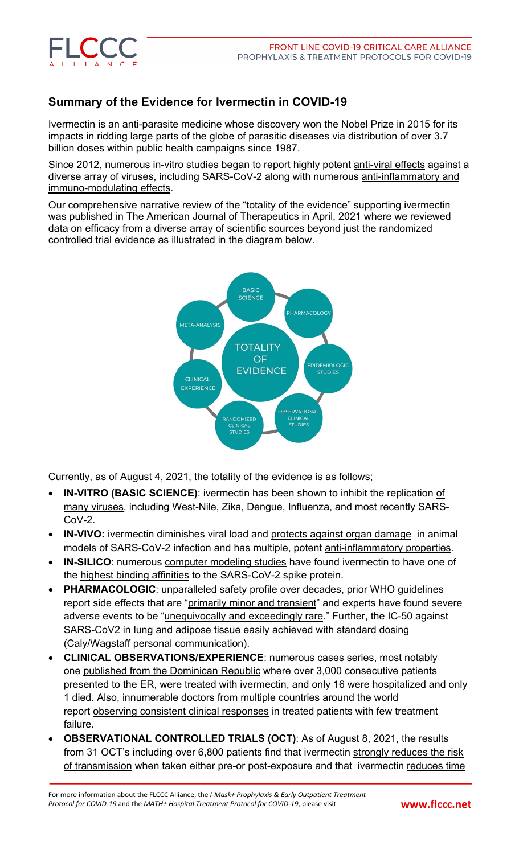

## **Summary of the Evidence for Ivermectin in COVID-19**

Ivermectin is an anti-parasite medicine whose discovery won the Nobel Prize in 2015 for its impacts in ridding large parts of the globe of parasitic diseases via distribution of over 3.7 billion doses within public health campaigns since 1987.

Since 2012, numerous in-vitro studies began to report highly potent [anti-viral](https://journals.lww.com/americantherapeutics/fulltext/2021/06000/review_of_the_emerging_evidence_demonstrating_the.4.aspx) effects against a diverse array of viruses, including SARS-CoV-2 along with numerous [anti-inflammatory](https://journals.lww.com/americantherapeutics/fulltext/2021/06000/review_of_the_emerging_evidence_demonstrating_the.4.aspx) and [immuno-modulating](https://journals.lww.com/americantherapeutics/fulltext/2021/06000/review_of_the_emerging_evidence_demonstrating_the.4.aspx) effects.

Our [comprehensive](https://journals.lww.com/americantherapeutics/fulltext/2021/06000/review_of_the_emerging_evidence_demonstrating_the.4.aspx) narrative review of the "totality of the evidence" supporting ivermectin was published in The American Journal of Therapeutics in April, 2021 where we reviewed data on efficacy from a diverse array of scientific sources beyond just the randomized controlled trial evidence as illustrated in the diagram below.



Currently, as of August 4, 2021, the totality of the evidence is as follows;

- **IN-VITRO (BASIC SCIENCE)**: ivermectin has been shown to inhibit the replication [of](https://www.ncbi.nlm.nih.gov/pmc/articles/PMC8088823/) many [viruses,](https://www.ncbi.nlm.nih.gov/pmc/articles/PMC8088823/) including West-Nile, Zika, Dengue, Influenza, and most recently SARS- $CoV-2$ .
- **IN-VIVO:** ivermectin diminishes viral load and protects against organ [damage](https://www.nature.com/articles/s41598-021-86679-0) in animal models of SARS-CoV-2 infection and has multiple, potent [anti-inflammatory](https://www.ncbi.nlm.nih.gov/pmc/articles/PMC8088823/) properties.
- **IN-SILICO**: numerous [computer](https://europepmc.org/article/ppr/ppr158226) modeling studies have found ivermectin to have one of the highest binding [affinities](https://pubmed.ncbi.nlm.nih.gov/32871846/) to the SARS-CoV-2 spike protein.
- **PHARMACOLOGIC:** unparalleled safety profile over decades, prior WHO guidelines report side effects that are "primarily minor and [transient"](https://bird-group.org/the-bird-recommendation-on-the-use-of-ivermectin-for-covid-19/) and experts have found severe adverse events to be ["unequivocally](https://www.medincell.com/ivermectin) and exceedingly rare." Further, the IC-50 against SARS-CoV2 in lung and adipose tissue easily achieved with standard dosing (Caly/Wagstaff personal communication).
- **CLINICAL OBSERVATIONS/EXPERIENCE**: numerous cases series, most notably one published from the [Dominican](https://www.longdom.org/open-access/the-use-of-compassionate-ivermectin-in-the-management-of-symptomatic-outpatients-and-hospitalized-patients-with-clinical.pdf) Republic where over 3,000 consecutive patients presented to the ER, were treated with ivermectin, and only 16 were hospitalized and only 1 died. Also, innumerable doctors from multiple countries around the world report observing consistent clinical [responses](https://bird-group.org) in treated patients with few treatment failure.
- **OBSERVATIONAL CONTROLLED TRIALS (OCT)**: As of August 8, 2021, the results from 31 OCT's including over 6,800 patients find that ivermectin strongly [reduces](https://ivmmeta.com) the risk of [transmission](https://ivmmeta.com) when taken either pre-or post-exposure and that ivermectin [reduces](https://ivmmeta.com) time